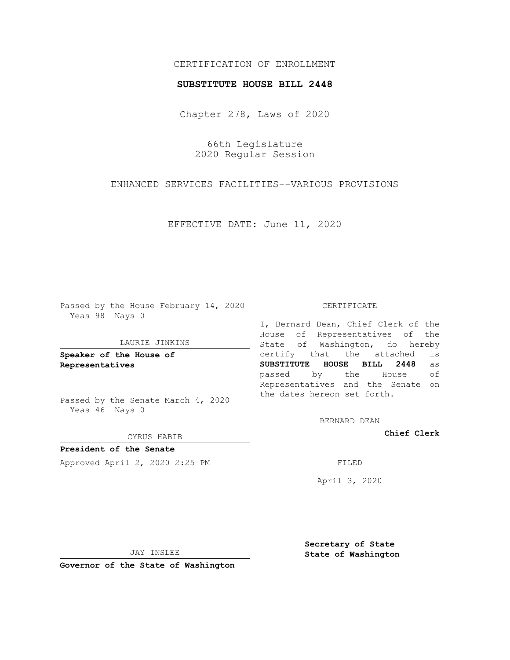# CERTIFICATION OF ENROLLMENT

### **SUBSTITUTE HOUSE BILL 2448**

Chapter 278, Laws of 2020

66th Legislature 2020 Regular Session

ENHANCED SERVICES FACILITIES--VARIOUS PROVISIONS

EFFECTIVE DATE: June 11, 2020

Passed by the House February 14, 2020 Yeas 98 Nays 0

#### LAURIE JINKINS

**Speaker of the House of Representatives**

Passed by the Senate March 4, 2020 Yeas 46 Nays 0

#### CYRUS HABIB

**President of the Senate** Approved April 2, 2020 2:25 PM

#### CERTIFICATE

I, Bernard Dean, Chief Clerk of the House of Representatives of the State of Washington, do hereby certify that the attached is **SUBSTITUTE HOUSE BILL 2448** as passed by the House of Representatives and the Senate on the dates hereon set forth.

BERNARD DEAN

**Chief Clerk**

April 3, 2020

JAY INSLEE

**Governor of the State of Washington**

**Secretary of State State of Washington**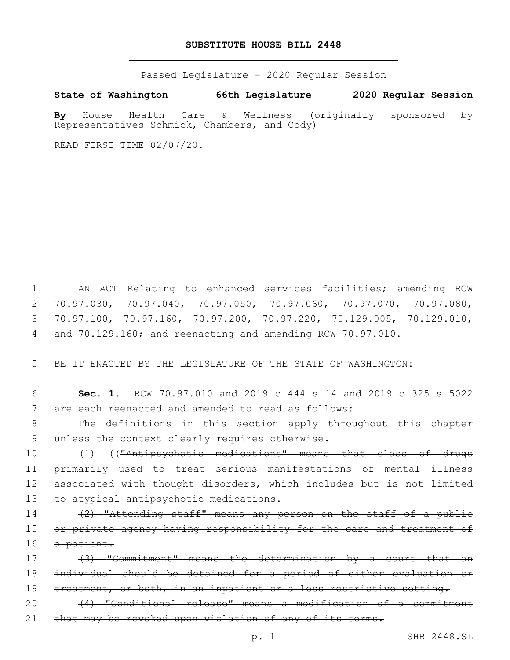## **SUBSTITUTE HOUSE BILL 2448**

Passed Legislature - 2020 Regular Session

**State of Washington 66th Legislature 2020 Regular Session**

**By** House Health Care & Wellness (originally sponsored by Representatives Schmick, Chambers, and Cody)

READ FIRST TIME 02/07/20.

 AN ACT Relating to enhanced services facilities; amending RCW 70.97.030, 70.97.040, 70.97.050, 70.97.060, 70.97.070, 70.97.080, 70.97.100, 70.97.160, 70.97.200, 70.97.220, 70.129.005, 70.129.010, and 70.129.160; and reenacting and amending RCW 70.97.010.

5 BE IT ENACTED BY THE LEGISLATURE OF THE STATE OF WASHINGTON:

6 **Sec. 1.** RCW 70.97.010 and 2019 c 444 s 14 and 2019 c 325 s 5022 7 are each reenacted and amended to read as follows:

8 The definitions in this section apply throughout this chapter 9 unless the context clearly requires otherwise.

10 (1) (("Antipsychotic medications" means that class of drugs 11 primarily used to treat serious manifestations of mental illness 12 associated with thought disorders, which includes but is not limited 13 to atypical antipsychotic medications.

14 (2) "Attending staff" means any person on the staff of a public 15 or private agency having responsibility for the care and treatment of 16 a patient.

17 (3) "Commitment" means the determination by a court that an 18 individual should be detained for a period of either evaluation or 19 treatment, or both, in an inpatient or a less restrictive setting.

20 (4) "Conditional release" means a modification of a commitment 21 that may be revoked upon violation of any of its terms.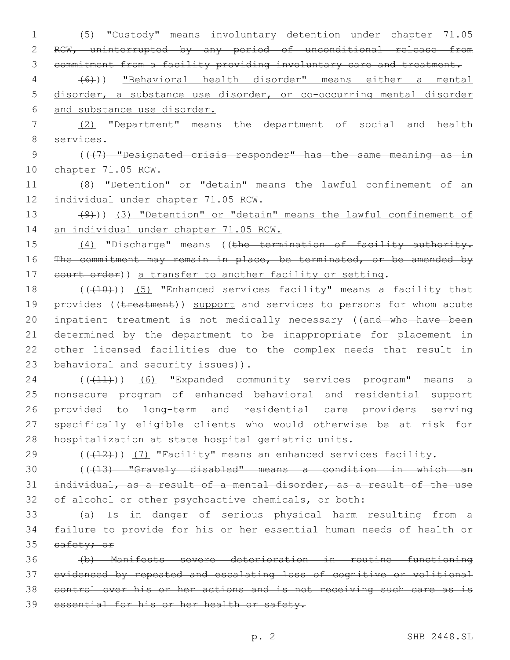1 (5) "Custody" means involuntary detention under chapter 71.05 2 RCW, uninterrupted by any period of unconditional release from 3 commitment from a facility providing involuntary care and treatment.

4 (6))) "Behavioral health disorder" means either a mental 5 disorder, a substance use disorder, or co-occurring mental disorder 6 and substance use disorder.

7 (2) "Department" means the department of social and health 8 services.

9 (((7) "Designated crisis responder" has the same meaning as in 10 chapter 71.05 RCW.

11 (8) "Detention" or "detain" means the lawful confinement of an 12 individual under chapter 71.05 RCW.

13 (9)) (3) "Detention" or "detain" means the lawful confinement of 14 an individual under chapter 71.05 RCW.

15 (4) "Discharge" means ((the termination of facility authority. 16 The commitment may remain in place, be terminated, or be amended by 17 eourt order)) a transfer to another facility or setting.

18  $((+10))$   $(5)$  "Enhanced services facility" means a facility that 19 provides ((treatment)) support and services to persons for whom acute 20 inpatient treatment is not medically necessary ((and who have been 21 determined by the department to be inappropriate for placement in 22 other licensed facilities due to the complex needs that result in 23 behavioral and security issues)).

24 (((11)) (6) "Expanded community services program" means a nonsecure program of enhanced behavioral and residential support provided to long-term and residential care providers serving specifically eligible clients who would otherwise be at risk for hospitalization at state hospital geriatric units.

29 (((412))) (7) "Facility" means an enhanced services facility.

30 (((13) "Gravely disabled" means a condition in which an 31 individual, as a result of a mental disorder, as a result of the use 32 of alcohol or other psychoactive chemicals, or both:

33 (a) Is in danger of serious physical harm resulting from a 34 failure to provide for his or her essential human needs of health or 35 safety; or

 (b) Manifests severe deterioration in routine functioning evidenced by repeated and escalating loss of cognitive or volitional control over his or her actions and is not receiving such care as is essential for his or her health or safety.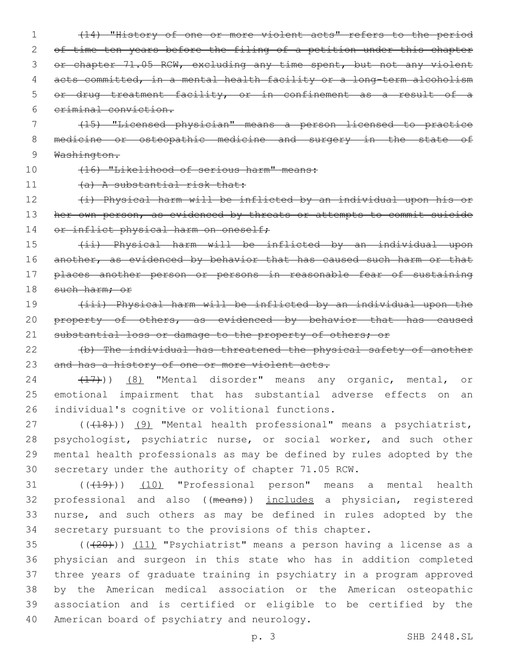(14) "History of one or more violent acts" refers to the period 2 of time ten years before the filing of a petition under this chapter 3 or chapter 71.05 RCW, excluding any time spent, but not any violent acts committed, in a mental health facility or a long-term alcoholism or drug treatment facility, or in confinement as a result of a criminal conviction.

7 (15) "Licensed physician" means a person licensed to practice 8 medicine or osteopathic medicine and surgery in the state of 9 Washington.

10 (16) "Likelihood of serious harm" means:

11 (a) A substantial risk that:

12 (i) Physical harm will be inflicted by an individual upon his or 13 her own person, as evidenced by threats or attempts to commit suicide 14 or inflict physical harm on oneself;

15 (ii) Physical harm will be inflicted by an individual upon 16 another, as evidenced by behavior that has caused such harm or that 17 places another person or persons in reasonable fear of sustaining 18 such harm; or

19 (iii) Physical harm will be inflicted by an individual upon the 20 property of others, as evidenced by behavior that has caused 21 substantial loss or damage to the property of others; or

22 (b) The individual has threatened the physical safety of another 23 and has a history of one or more violent acts.

24 (17)) (8) "Mental disorder" means any organic, mental, or 25 emotional impairment that has substantial adverse effects on an 26 individual's cognitive or volitional functions.

27 (((18))) (9) "Mental health professional" means a psychiatrist, psychologist, psychiatric nurse, or social worker, and such other mental health professionals as may be defined by rules adopted by the secretary under the authority of chapter 71.05 RCW.

31 ((+19)) (10) "Professional person" means a mental health professional and also ((means)) includes a physician, registered nurse, and such others as may be defined in rules adopted by the secretary pursuant to the provisions of this chapter.

 $((+20))$   $(11)$  "Psychiatrist" means a person having a license as a physician and surgeon in this state who has in addition completed three years of graduate training in psychiatry in a program approved by the American medical association or the American osteopathic association and is certified or eligible to be certified by the 40 American board of psychiatry and neurology.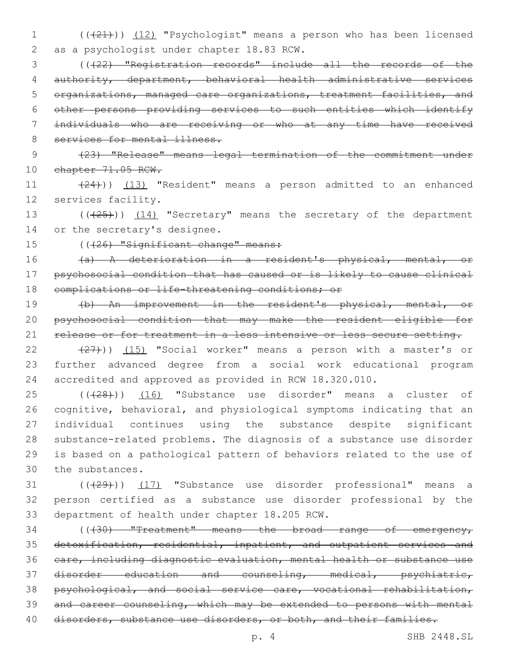1 (( $(21)$ )) (12) "Psychologist" means a person who has been licensed 2 as a psychologist under chapter 18.83 RCW.

 (((22) "Registration records" include all the records of the authority, department, behavioral health administrative services organizations, managed care organizations, treatment facilities, and other persons providing services to such entities which identify individuals who are receiving or who at any time have received 8 services for mental illness.

9 (23) "Release" means legal termination of the commitment under 10 chapter 71.05 RCW.

11 (24))) (13) "Resident" means a person admitted to an enhanced 12 services facility.

13 (((25))) (14) "Secretary" means the secretary of the department 14 or the secretary's designee.

15 ((426) "Significant change" means:

16 (a) A deterioration in a resident's physical, mental, or 17 psychosocial condition that has caused or is likely to cause clinical 18 complications or life-threatening conditions; or

19 (b) An improvement in the resident's physical, mental, or 20 psychosocial condition that may make the resident eligible for 21 release or for treatment in a less intensive or less secure setting.

22  $(27)$ ))  $(15)$  "Social worker" means a person with a master's or 23 further advanced degree from a social work educational program 24 accredited and approved as provided in RCW 18.320.010.

25 (((28))) (16) "Substance use disorder" means a cluster of cognitive, behavioral, and physiological symptoms indicating that an individual continues using the substance despite significant substance-related problems. The diagnosis of a substance use disorder is based on a pathological pattern of behaviors related to the use of 30 the substances.

31 (((29))) (17) "Substance use disorder professional" means a 32 person certified as a substance use disorder professional by the 33 department of health under chapter 18.205 RCW.

34 (( $+30$ ) "Treatment" means the broad range of emergency, detoxification, residential, inpatient, and outpatient services and care, including diagnostic evaluation, mental health or substance use disorder education and counseling, medical, psychiatric, psychological, and social service care, vocational rehabilitation, and career counseling, which may be extended to persons with mental 40 disorders, substance use disorders, or both, and their families.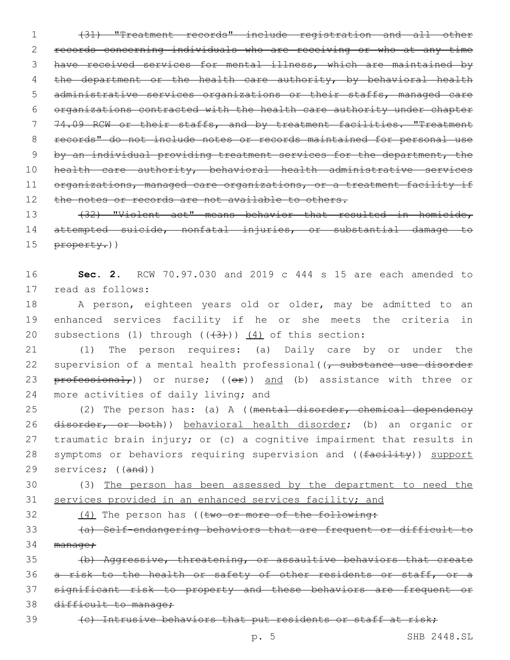(31) "Treatment records" include registration and all other records concerning individuals who are receiving or who at any time 3 have received services for mental illness, which are maintained by 4 the department or the health care authority, by behavioral health administrative services organizations or their staffs, managed care organizations contracted with the health care authority under chapter 74.09 RCW or their staffs, and by treatment facilities. "Treatment records" do not include notes or records maintained for personal use by an individual providing treatment services for the department, the health care authority, behavioral health administrative services 11 organizations, managed care organizations, or a treatment facility if 12 the notes or records are not available to others. 13 (32) "Violent act" means behavior that resulted in homicide,

14 attempted suicide, nonfatal injuries, or substantial damage to 15 property.))

16 **Sec. 2.** RCW 70.97.030 and 2019 c 444 s 15 are each amended to 17 read as follows:

18 A person, eighteen years old or older, may be admitted to an 19 enhanced services facility if he or she meets the criteria in 20 subsections (1) through  $((43))$   $(4)$  of this section:

21 (1) The person requires: (a) Daily care by or under the 22 supervision of a mental health professional((<del>, substance use disorder</del> 23  $\frac{1}{1}$  professional,) or nurse; (( $\frac{1}{1}$ ) and (b) assistance with three or 24 more activities of daily living; and

25 (2) The person has: (a) A ((mental disorder, chemical dependency 26 disorder, or both)) behavioral health disorder; (b) an organic or 27 traumatic brain injury; or (c) a cognitive impairment that results in 28 symptoms or behaviors requiring supervision and ((facility)) support 29 services; ((and))

30 (3) The person has been assessed by the department to need the 31 services provided in an enhanced services facility; and

32 (4) The person has ((two or more of the following:

33 (a) Self-endangering behaviors that are frequent or difficult to 34 manage;

35 (b) Aggressive, threatening, or assaultive behaviors that create 36 a risk to the health or safety of other residents or staff, or a 37 significant risk to property and these behaviors are frequent or 38 difficult to manage;

39 (c) Intrusive behaviors that put residents or staff at risk;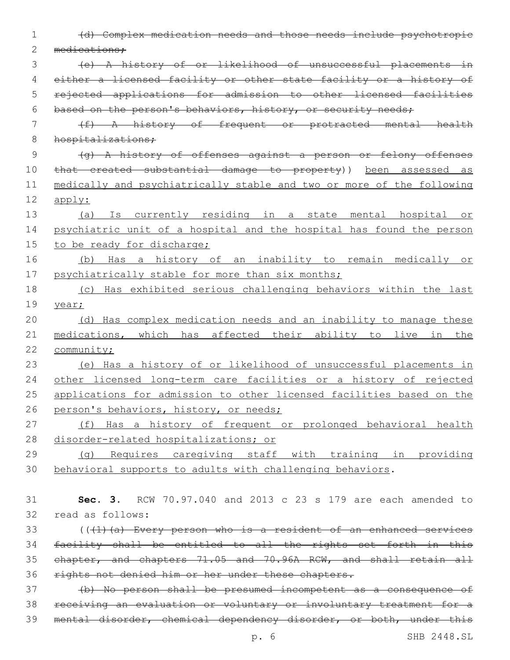| 1           | (d) Complex medication needs and those needs include psychotropic     |
|-------------|-----------------------------------------------------------------------|
| 2           | medications;                                                          |
| 3           | (e) A history of or likelihood of unsuccessful placements in          |
| 4           | either a licensed facility or other state facility or a history of    |
| 5           | rejected applications for admission to other licensed facilities      |
| 6           | based on the person's behaviors, history, or security needs;          |
| 7           | (f) A history of frequent or protracted mental health                 |
| $8\,$       | hospitalizations;                                                     |
| $\mathsf 9$ | $(q)$ A history of offenses against a person or felony offenses       |
| 10          | that created substantial damage to property)) been assessed as        |
| 11          | medically and psychiatrically stable and two or more of the following |
| 12          | apply:                                                                |
| 13          | (a) Is currently residing in a state mental hospital or               |
| 14          | psychiatric unit of a hospital and the hospital has found the person  |
| 15          | to be ready for discharge;                                            |
| 16          | Has a history of an inability to remain medically or<br>(b)           |
| 17          | psychiatrically stable for more than six months;                      |
| 18          | (c) Has exhibited serious challenging behaviors within the last       |
| 19          | year;                                                                 |
| 20          | (d) Has complex medication needs and an inability to manage these     |
| 21          | medications, which has affected their ability to live in the          |
| 22          | community;                                                            |
| 23          | (e) Has a history of or likelihood of unsuccessful placements in      |
| 24          | other licensed long-term care facilities or a history of rejected     |
| 25          | applications for admission to other licensed facilities based on the  |
| 26          | person's behaviors, history, or needs;                                |
| 27          | (f) Has a history of frequent or prolonged behavioral health          |
| 28          | disorder-related hospitalizations; or                                 |
| 29          | (g) Requires caregiving staff with training in providing              |
| 30          | behavioral supports to adults with challenging behaviors.             |
|             |                                                                       |
| 31          | Sec. 3. RCW 70.97.040 and 2013 c 23 s 179 are each amended to         |
| 32          | read as follows:                                                      |
| 33          | $((+1)$ (a) Every person who is a resident of an enhanced services    |
| 34          | facility shall be entitled to all the rights set forth in this        |
| 35          | chapter, and chapters 71.05 and 70.96A RCW, and shall retain all      |
| 36          | rights not denied him or her under these chapters.                    |
| 37          | (b) No person shall be presumed incompetent as a consequence of       |
| 38          | receiving an evaluation or voluntary or involuntary treatment for a   |
| 39          | mental disorder, chemical dependency disorder, or both, under this    |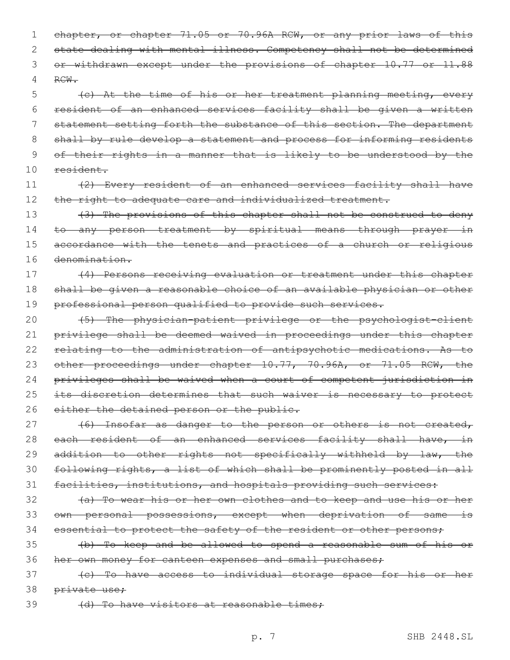1 chapter, or chapter 71.05 or 70.96A RCW, or any prior laws of this 2 state dealing with mental illness. Competency shall not be determined 3 or withdrawn except under the provisions of chapter 10.77 or 11.88 4 RCW.

 (c) At the time of his or her treatment planning meeting, every resident of an enhanced services facility shall be given a written statement setting forth the substance of this section. The department 8 shall by rule develop a statement and process for informing residents of their rights in a manner that is likely to be understood by the 10 resident.

11 (2) Every resident of an enhanced services facility shall have 12 the right to adequate care and individualized treatment.

13 (3) The provisions of this chapter shall not be construed to deny 14 to any person treatment by spiritual means through prayer in 15 accordance with the tenets and practices of a church or religious 16 denomination.

17 (4) Persons receiving evaluation or treatment under this chapter 18 shall be given a reasonable choice of an available physician or other 19 professional person qualified to provide such services.

20 (5) The physician-patient privilege or the psychologist-client 21 privilege shall be deemed waived in proceedings under this chapter 22 relating to the administration of antipsychotic medications. As to 23 other proceedings under chapter 10.77, 70.96A, or 71.05 RCW, the 24 privileges shall be waived when a court of competent jurisdiction in 25 its discretion determines that such waiver is necessary to protect 26 either the detained person or the public.

27 (6) Insofar as danger to the person or others is not created, 28 each resident of an enhanced services facility shall have, in 29 addition to other rights not specifically withheld by law, the 30 following rights, a list of which shall be prominently posted in all 31 facilities, institutions, and hospitals providing such services:

32 (a) To wear his or her own clothes and to keep and use his or her 33 own personal possessions, except when deprivation of same is 34 essential to protect the safety of the resident or other persons;

35 (b) To keep and be allowed to spend a reasonable sum of his or 36 her own money for canteen expenses and small purchases;

37 (c) To have access to individual storage space for his or her 38 <del>private use;</del>

39 (d) To have visitors at reasonable times;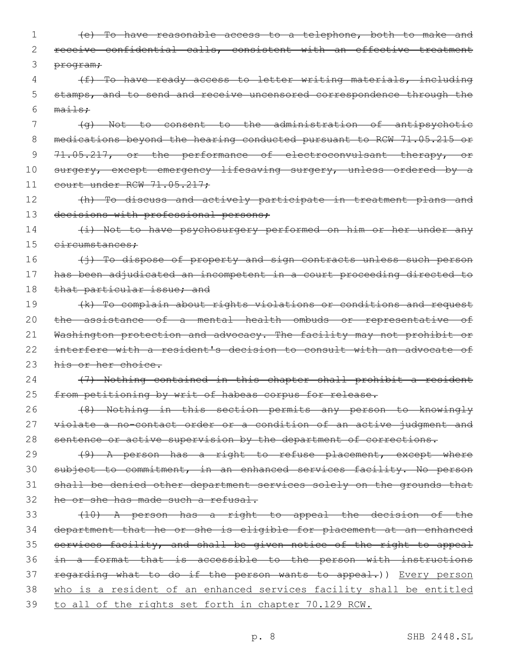| 1  | (e) To have reasonable access to a telephone, both to make and        |
|----|-----------------------------------------------------------------------|
| 2  | receive confidential calls, consistent with an effective treatment    |
| 3  | program;                                                              |
| 4  | (f) To have ready access to letter writing materials, including       |
| 5  | stamps, and to send and receive uncensored correspondence through the |
| 6  | $ma1 + sr$                                                            |
| 7  | (g) Not to consent to the administration of antipsychotic             |
| 8  | medications beyond the hearing conducted pursuant to RCW 71.05.215 or |
| 9  | 71.05.217, or the performance of electroconvulsant therapy, or        |
| 10 | surgery, except emergency lifesaving surgery, unless ordered by a     |
| 11 | court under RCW 71.05.217;                                            |
| 12 | (h) To discuss and actively participate in treatment plans and        |
| 13 | decisions with professional persons;                                  |
| 14 | (i) Not to have psychosurgery performed on him or her under any       |
| 15 | eireumstances:                                                        |
| 16 | (i) To dispose of property and sign contracts unless such person      |
| 17 | has been adjudicated an incompetent in a court proceeding directed to |
| 18 | that particular issue; and                                            |
| 19 | (k) To complain about rights violations or conditions and request     |
| 20 | the assistance of a mental health ombuds or representative of         |
| 21 | Washington protection and advocacy. The facility may not prohibit or  |
| 22 | interfere with a resident's decision to consult with an advocate of   |
| 23 | his or her choice.                                                    |
| 24 | (7) Nothing contained in this chapter shall prohibit a resident       |
| 25 | from petitioning by writ of habeas corpus for release.                |
| 26 | (8) Nothing in this section permits any person to knowingly           |
| 27 | violate a no-contact order or a condition of an active judgment and   |
| 28 | sentence or active supervision by the department of corrections.      |
| 29 | (9) A person has a right to refuse placement, except where            |
| 30 | subject to commitment, in an enhanced services facility. No person    |
| 31 | shall be denied other department services solely on the grounds that  |
| 32 | he or she has made such a refusal.                                    |
| 33 | (10) A person has a right to appeal the decision of the               |
| 34 | department that he or she is eligible for placement at an enhanced    |
| 35 | services facility, and shall be given notice of the right to appeal   |
| 36 | in a format that is accessible to the person with instructions        |
| 37 | regarding what to do if the person wants to appeal.)) Every person    |
| 38 | who is a resident of an enhanced services facility shall be entitled  |
| 39 | to all of the rights set forth in chapter 70.129 RCW.                 |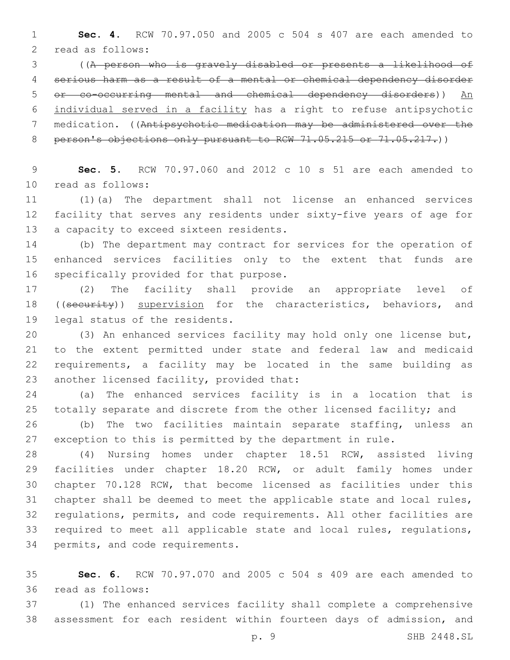**Sec. 4.** RCW 70.97.050 and 2005 c 504 s 407 are each amended to 2 read as follows:

 ((A person who is gravely disabled or presents a likelihood of serious harm as a result of a mental or chemical dependency disorder or co-occurring mental and chemical dependency disorders)) An individual served in a facility has a right to refuse antipsychotic medication. ((Antipsychotic medication may be administered over the 8 person's objections only pursuant to RCW 71.05.215 or 71.05.217.))

 **Sec. 5.** RCW 70.97.060 and 2012 c 10 s 51 are each amended to 10 read as follows:

 (1)(a) The department shall not license an enhanced services facility that serves any residents under sixty-five years of age for 13 a capacity to exceed sixteen residents.

 (b) The department may contract for services for the operation of enhanced services facilities only to the extent that funds are 16 specifically provided for that purpose.

 (2) The facility shall provide an appropriate level of 18 ((security)) supervision for the characteristics, behaviors, and 19 legal status of the residents.

 (3) An enhanced services facility may hold only one license but, to the extent permitted under state and federal law and medicaid requirements, a facility may be located in the same building as 23 another licensed facility, provided that:

 (a) The enhanced services facility is in a location that is totally separate and discrete from the other licensed facility; and

 (b) The two facilities maintain separate staffing, unless an exception to this is permitted by the department in rule.

 (4) Nursing homes under chapter 18.51 RCW, assisted living facilities under chapter 18.20 RCW, or adult family homes under chapter 70.128 RCW, that become licensed as facilities under this chapter shall be deemed to meet the applicable state and local rules, regulations, permits, and code requirements. All other facilities are required to meet all applicable state and local rules, regulations, 34 permits, and code requirements.

 **Sec. 6.** RCW 70.97.070 and 2005 c 504 s 409 are each amended to read as follows:36

 (1) The enhanced services facility shall complete a comprehensive assessment for each resident within fourteen days of admission, and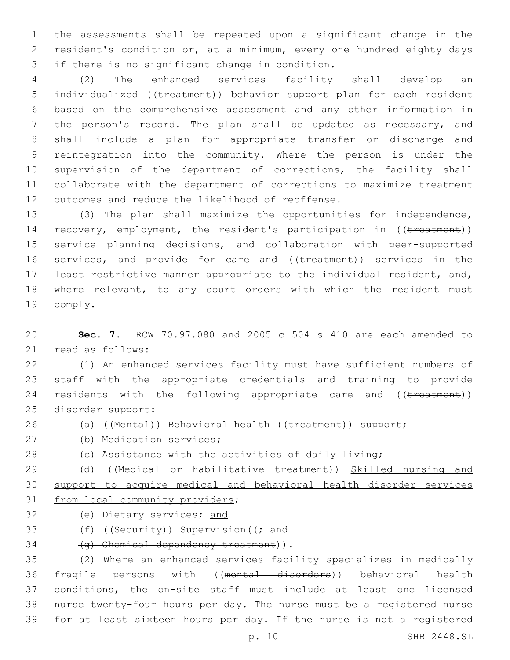1 the assessments shall be repeated upon a significant change in the 2 resident's condition or, at a minimum, every one hundred eighty days 3 if there is no significant change in condition.

 (2) The enhanced services facility shall develop an 5 individualized ((treatment)) behavior support plan for each resident based on the comprehensive assessment and any other information in the person's record. The plan shall be updated as necessary, and shall include a plan for appropriate transfer or discharge and reintegration into the community. Where the person is under the supervision of the department of corrections, the facility shall collaborate with the department of corrections to maximize treatment 12 outcomes and reduce the likelihood of reoffense.

13 (3) The plan shall maximize the opportunities for independence, 14 recovery, employment, the resident's participation in ((treatment)) 15 service planning decisions, and collaboration with peer-supported 16 services, and provide for care and ((treatment)) services in the 17 least restrictive manner appropriate to the individual resident, and, 18 where relevant, to any court orders with which the resident must 19 comply.

20 **Sec. 7.** RCW 70.97.080 and 2005 c 504 s 410 are each amended to 21 read as follows:

22 (1) An enhanced services facility must have sufficient numbers of 23 staff with the appropriate credentials and training to provide 24 residents with the following appropriate care and ((treatment)) 25 disorder support:

26 (a) ((Mental)) Behavioral health ((treatment)) support;

- 27 (b) Medication services;
- 28 (c) Assistance with the activities of daily living;

29 (d) ((Medical or habilitative treatment)) Skilled nursing and 30 support to acquire medical and behavioral health disorder services 31 from local community providers;

- 32 (e) Dietary services; and
- 33 (f) ((Security)) Supervision((; and

34 (g) Chemical dependency treatment)).

 (2) Where an enhanced services facility specializes in medically fragile persons with ((mental disorders)) behavioral health 37 conditions, the on-site staff must include at least one licensed nurse twenty-four hours per day. The nurse must be a registered nurse for at least sixteen hours per day. If the nurse is not a registered

p. 10 SHB 2448.SL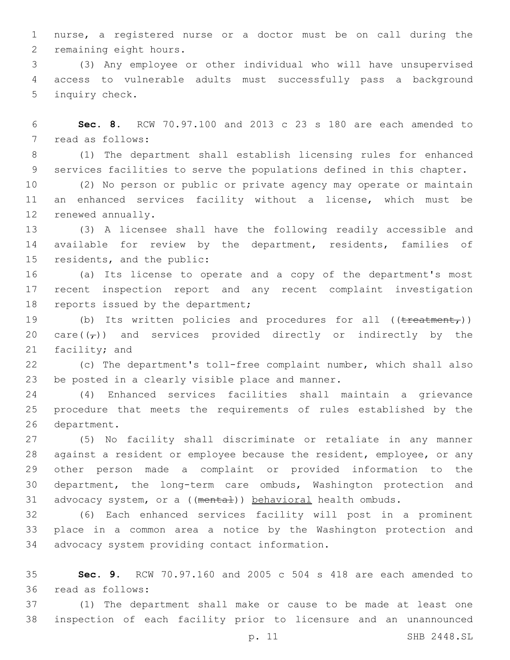nurse, a registered nurse or a doctor must be on call during the 2 remaining eight hours.

 (3) Any employee or other individual who will have unsupervised access to vulnerable adults must successfully pass a background 5 inquiry check.

 **Sec. 8.** RCW 70.97.100 and 2013 c 23 s 180 are each amended to 7 read as follows:

 (1) The department shall establish licensing rules for enhanced services facilities to serve the populations defined in this chapter.

 (2) No person or public or private agency may operate or maintain an enhanced services facility without a license, which must be 12 renewed annually.

 (3) A licensee shall have the following readily accessible and available for review by the department, residents, families of 15 residents, and the public:

 (a) Its license to operate and a copy of the department's most recent inspection report and any recent complaint investigation 18 reports issued by the department;

19 (b) Its written policies and procedures for all ((treatment,)) 20 care( $(\tau)$ ) and services provided directly or indirectly by the 21 facility; and

 (c) The department's toll-free complaint number, which shall also 23 be posted in a clearly visible place and manner.

 (4) Enhanced services facilities shall maintain a grievance procedure that meets the requirements of rules established by the 26 department.

 (5) No facility shall discriminate or retaliate in any manner against a resident or employee because the resident, employee, or any other person made a complaint or provided information to the department, the long-term care ombuds, Washington protection and 31 advocacy system, or a ((mental)) behavioral health ombuds.

 (6) Each enhanced services facility will post in a prominent place in a common area a notice by the Washington protection and 34 advocacy system providing contact information.

 **Sec. 9.** RCW 70.97.160 and 2005 c 504 s 418 are each amended to 36 read as follows:

 (1) The department shall make or cause to be made at least one inspection of each facility prior to licensure and an unannounced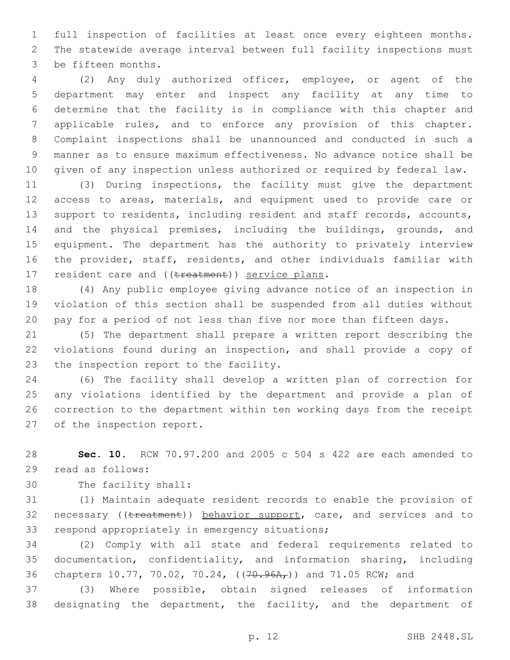full inspection of facilities at least once every eighteen months. The statewide average interval between full facility inspections must 3 be fifteen months.

 (2) Any duly authorized officer, employee, or agent of the department may enter and inspect any facility at any time to determine that the facility is in compliance with this chapter and applicable rules, and to enforce any provision of this chapter. Complaint inspections shall be unannounced and conducted in such a manner as to ensure maximum effectiveness. No advance notice shall be given of any inspection unless authorized or required by federal law.

 (3) During inspections, the facility must give the department access to areas, materials, and equipment used to provide care or support to residents, including resident and staff records, accounts, 14 and the physical premises, including the buildings, grounds, and equipment. The department has the authority to privately interview the provider, staff, residents, and other individuals familiar with 17 resident care and ((treatment)) service plans.

 (4) Any public employee giving advance notice of an inspection in violation of this section shall be suspended from all duties without pay for a period of not less than five nor more than fifteen days.

 (5) The department shall prepare a written report describing the violations found during an inspection, and shall provide a copy of 23 the inspection report to the facility.

 (6) The facility shall develop a written plan of correction for any violations identified by the department and provide a plan of correction to the department within ten working days from the receipt 27 of the inspection report.

 **Sec. 10.** RCW 70.97.200 and 2005 c 504 s 422 are each amended to 29 read as follows:

30 The facility shall:

 (1) Maintain adequate resident records to enable the provision of 32 necessary ((treatment)) behavior support, care, and services and to 33 respond appropriately in emergency situations;

 (2) Comply with all state and federal requirements related to documentation, confidentiality, and information sharing, including 36 chapters 10.77, 70.02, 70.24, ((70.96A,)) and 71.05 RCW; and

 (3) Where possible, obtain signed releases of information designating the department, the facility, and the department of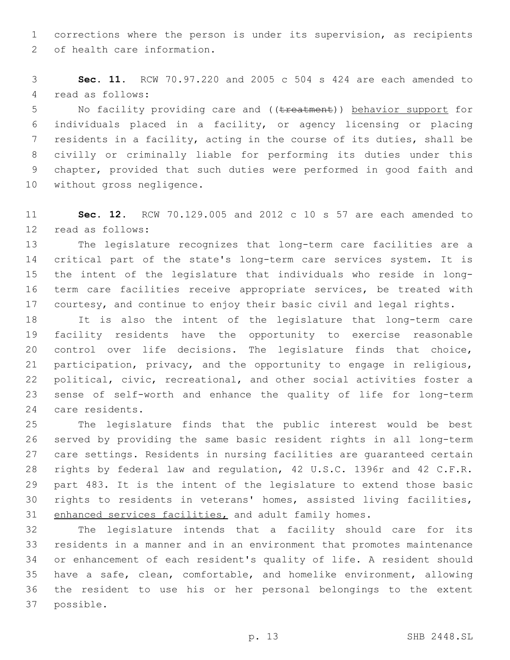corrections where the person is under its supervision, as recipients 2 of health care information.

 **Sec. 11.** RCW 70.97.220 and 2005 c 504 s 424 are each amended to 4 read as follows:

5 No facility providing care and ((treatment)) behavior support for individuals placed in a facility, or agency licensing or placing residents in a facility, acting in the course of its duties, shall be civilly or criminally liable for performing its duties under this chapter, provided that such duties were performed in good faith and 10 without gross negligence.

 **Sec. 12.** RCW 70.129.005 and 2012 c 10 s 57 are each amended to 12 read as follows:

 The legislature recognizes that long-term care facilities are a critical part of the state's long-term care services system. It is the intent of the legislature that individuals who reside in long- term care facilities receive appropriate services, be treated with courtesy, and continue to enjoy their basic civil and legal rights.

 It is also the intent of the legislature that long-term care facility residents have the opportunity to exercise reasonable control over life decisions. The legislature finds that choice, participation, privacy, and the opportunity to engage in religious, political, civic, recreational, and other social activities foster a sense of self-worth and enhance the quality of life for long-term 24 care residents.

 The legislature finds that the public interest would be best served by providing the same basic resident rights in all long-term care settings. Residents in nursing facilities are guaranteed certain rights by federal law and regulation, 42 U.S.C. 1396r and 42 C.F.R. part 483. It is the intent of the legislature to extend those basic rights to residents in veterans' homes, assisted living facilities, 31 enhanced services facilities, and adult family homes.

 The legislature intends that a facility should care for its residents in a manner and in an environment that promotes maintenance or enhancement of each resident's quality of life. A resident should have a safe, clean, comfortable, and homelike environment, allowing the resident to use his or her personal belongings to the extent 37 possible.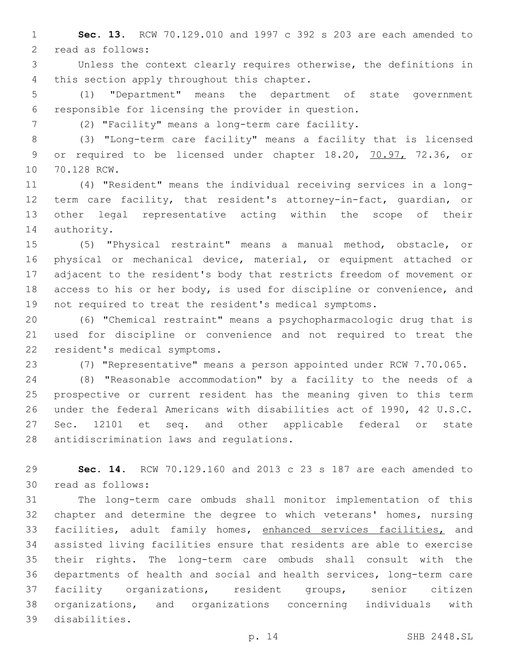**Sec. 13.** RCW 70.129.010 and 1997 c 392 s 203 are each amended to 2 read as follows:

 Unless the context clearly requires otherwise, the definitions in 4 this section apply throughout this chapter.

 (1) "Department" means the department of state government responsible for licensing the provider in question.

(2) "Facility" means a long-term care facility.

 (3) "Long-term care facility" means a facility that is licensed 9 or required to be licensed under chapter 18.20, 70.97, 72.36, or 10 70.128 RCW.

 (4) "Resident" means the individual receiving services in a long- term care facility, that resident's attorney-in-fact, guardian, or other legal representative acting within the scope of their 14 authority.

 (5) "Physical restraint" means a manual method, obstacle, or physical or mechanical device, material, or equipment attached or adjacent to the resident's body that restricts freedom of movement or access to his or her body, is used for discipline or convenience, and not required to treat the resident's medical symptoms.

 (6) "Chemical restraint" means a psychopharmacologic drug that is used for discipline or convenience and not required to treat the 22 resident's medical symptoms.

(7) "Representative" means a person appointed under RCW 7.70.065.

 (8) "Reasonable accommodation" by a facility to the needs of a prospective or current resident has the meaning given to this term under the federal Americans with disabilities act of 1990, 42 U.S.C. Sec. 12101 et seq. and other applicable federal or state 28 antidiscrimination laws and regulations.

 **Sec. 14.** RCW 70.129.160 and 2013 c 23 s 187 are each amended to read as follows:30

 The long-term care ombuds shall monitor implementation of this chapter and determine the degree to which veterans' homes, nursing facilities, adult family homes, enhanced services facilities, and assisted living facilities ensure that residents are able to exercise their rights. The long-term care ombuds shall consult with the departments of health and social and health services, long-term care facility organizations, resident groups, senior citizen organizations, and organizations concerning individuals with disabilities.39